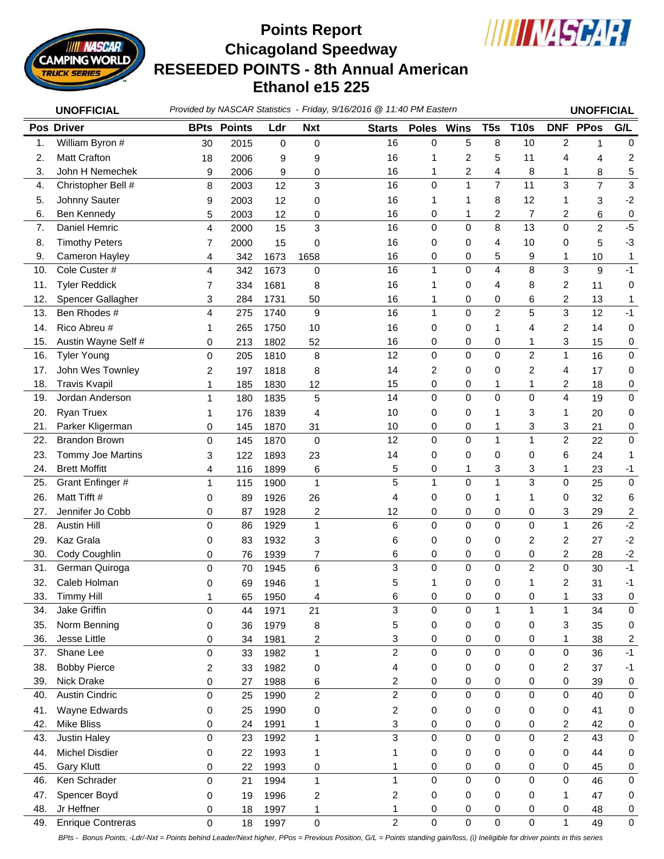

## **Chicagoland Speedway RESEEDED POINTS - 8th Annual American Ethanol e15 225 Points Report**



|            | <b>UNOFFICIAL</b>                   |                  |                    |              |                         | Provided by NASCAR Statistics - Friday, 9/16/2016 @ 11:40 PM Eastern |              |                         |                         |                | <b>UNOFFICIAL</b>       |                  |                         |
|------------|-------------------------------------|------------------|--------------------|--------------|-------------------------|----------------------------------------------------------------------|--------------|-------------------------|-------------------------|----------------|-------------------------|------------------|-------------------------|
|            | <b>Pos Driver</b>                   |                  | <b>BPts Points</b> | Ldr          | <b>Nxt</b>              | <b>Starts</b>                                                        | <b>Poles</b> | <b>Wins</b>             | T <sub>5s</sub>         | <b>T10s</b>    |                         | <b>DNF PPos</b>  | G/L                     |
| 1.         | William Byron #                     | 30               | 2015               | $\mathbf 0$  | 0                       | 16                                                                   | 0            | 5                       | 8                       | 10             | 2                       | 1                | $\pmb{0}$               |
| 2.         | <b>Matt Crafton</b>                 | 18               | 2006               | 9            | 9                       | 16                                                                   | 1            | $\overline{c}$          | 5                       | 11             | 4                       | 4                | 2                       |
| 3.         | John H Nemechek                     | 9                | 2006               | 9            | 0                       | 16                                                                   | 1            | $\overline{\mathbf{c}}$ | 4                       | 8              | 1                       | 8                | 5                       |
| 4.         | Christopher Bell #                  | 8                | 2003               | 12           | 3                       | 16                                                                   | 0            | $\mathbf{1}$            | $\overline{7}$          | 11             | 3                       | $\overline{7}$   | $\mathbf{3}$            |
| 5.         | Johnny Sauter                       | 9                | 2003               | 12           | 0                       | 16                                                                   | 1            | 1                       | 8                       | 12             | 1                       | 3                | $-2$                    |
| 6.         | Ben Kennedy                         | 5                | 2003               | 12           | 0                       | 16                                                                   | 0            | 1                       | 2                       | $\overline{7}$ | 2                       | 6                | $\,0\,$                 |
| 7.         | Daniel Hemric                       | $\overline{4}$   | 2000               | 15           | 3                       | 16                                                                   | 0            | $\mathbf 0$             | 8                       | 13             | 0                       | $\overline{c}$   | $-5$                    |
| 8.         | <b>Timothy Peters</b>               | 7                | 2000               | 15           | 0                       | 16                                                                   | 0            | 0                       | 4                       | 10             | 0                       | 5                | $-3$                    |
| 9.         | Cameron Hayley                      | 4                | 342                | 1673         | 1658                    | 16                                                                   | 0            | 0                       | 5                       | 9              | 1                       | 10               | 1                       |
| 10.        | Cole Custer #                       | $\overline{4}$   | 342                | 1673         | $\mathbf 0$             | 16                                                                   | 1            | $\mathbf 0$             | $\overline{\mathbf{4}}$ | 8              | 3                       | $\boldsymbol{9}$ | $-1$                    |
| 11.        | <b>Tyler Reddick</b>                | 7                | 334                | 1681         | 8                       | 16                                                                   | 1            | 0                       | 4                       | 8              | 2                       | 11               | 0                       |
| 12.        | Spencer Gallagher                   | 3                | 284                | 1731         | 50                      | 16                                                                   | 1            | 0                       | 0                       | 6              | 2                       | 13               | 1                       |
| 13.        | Ben Rhodes #                        | 4                | 275                | 1740         | 9                       | 16                                                                   | $\mathbf{1}$ | $\mathbf 0$             | $\overline{2}$          | 5              | 3                       | 12               | $-1$                    |
| 14.        | Rico Abreu #                        | 1                | 265                | 1750         | 10                      | 16                                                                   | 0            | 0                       | 1                       | 4              | 2                       | 14               | 0                       |
| 15.        | Austin Wayne Self #                 | 0                | 213                | 1802         | 52                      | 16                                                                   | 0            | 0                       | 0                       | 1              | 3                       | 15               | 0                       |
| 16.        | <b>Tyler Young</b>                  | $\mathbf 0$      | 205                | 1810         | 8                       | 12                                                                   | 0            | $\mathbf 0$             | 0                       | $\overline{c}$ | $\mathbf{1}$            | 16               | 0                       |
| 17.        | John Wes Townley                    | 2                | 197                | 1818         | 8                       | 14                                                                   | 2            | 0                       | 0                       | 2              | 4                       | 17               | 0                       |
| 18.        | <b>Travis Kvapil</b>                | 1                | 185                | 1830         | 12                      | 15                                                                   | 0            | 0                       | 1                       | 1              | 2                       | 18               | 0                       |
| 19.        | Jordan Anderson                     | 1                | 180                | 1835         | 5                       | 14                                                                   | 0            | $\Omega$                | $\Omega$                | $\mathbf 0$    | 4                       | 19               | 0                       |
| 20.        | Ryan Truex                          | 1                | 176                | 1839         | 4                       | 10                                                                   | 0            | 0                       | 1                       | 3              | 1                       | 20               | 0                       |
| 21.        | Parker Kligerman                    | 0                | 145                | 1870         | 31                      | 10                                                                   | 0            | 0                       | 1                       | 3              | 3                       | 21               | 0                       |
| 22.        | <b>Brandon Brown</b>                | $\Omega$         | 145                | 1870         | $\mathbf 0$             | 12                                                                   | 0            | $\mathbf 0$             | $\mathbf{1}$            | $\mathbf{1}$   | $\overline{2}$          | 22               | 0                       |
| 23.        | Tommy Joe Martins                   | 3                | 122                | 1893         | 23                      | 14                                                                   | 0            | 0                       | 0                       | 0              | 6                       | 24               | 1                       |
| 24.        | <b>Brett Moffitt</b>                | 4                | 116                | 1899         | 6                       | 5                                                                    | 0            | 1                       | 3                       | 3              | $\mathbf{1}$            | 23               | $-1$                    |
| 25.        | Grant Enfinger #                    | 1                | 115                | 1900         | 1                       | 5                                                                    | 1            | $\mathbf 0$             | 1                       | 3              | $\mathsf 0$             | 25               | $\pmb{0}$               |
| 26.        | Matt Tifft #                        | 0                | 89                 | 1926         | 26                      | 4                                                                    | 0            | 0                       | 1                       | 1              | 0                       | 32               | 6                       |
| 27.        | Jennifer Jo Cobb                    | 0                | 87                 | 1928         | 2                       | 12                                                                   | 0            | 0                       | 0                       | 0              | 3                       | 29               | $\overline{\mathbf{c}}$ |
| 28.        | <b>Austin Hill</b>                  | $\Omega$         | 86                 | 1929         | 1                       | 6                                                                    | 0            | $\pmb{0}$               | 0                       | $\pmb{0}$      | $\mathbf{1}$            | 26               | $-2$                    |
| 29.        | Kaz Grala                           | 0                | 83                 | 1932         | 3                       | 6                                                                    | 0            | 0                       | 0                       | 2              | 2                       | 27               | $-2$                    |
| 30.        | Cody Coughlin                       | 0                | 76                 | 1939         | 7                       | 6                                                                    | 0            | 0                       | 0                       | 0              | $\overline{\mathbf{c}}$ | 28               | $-2$                    |
| 31.        | German Quiroga                      | $\mathbf 0$      | 70                 | 1945         | 6                       | 3                                                                    | 0            | 0                       | 0                       | $\overline{c}$ | 0                       | 30               | $-1$                    |
| 32.        | Caleb Holman                        | 0                | 69                 | 1946         | 1                       | 5                                                                    | 1            | 0                       | 0                       | 1              | 2                       | 31               | $-1$                    |
| 33.        | Timmy Hill                          | 1                | 65                 | 1950         | 4                       | 6                                                                    | 0            | 0                       | 0                       | 0              | 1                       | 33               | 0                       |
| 34.        | Jake Griffin                        | $\Omega$         | 44                 | 1971         | 21                      | 3                                                                    | 0            | $\pmb{0}$               | $\mathbf{1}$            | 1              | $\mathbf{1}$            | 34               | $\pmb{0}$               |
| 35.        | Norm Benning                        | 0                | 36                 | 1979         | 8                       | 5                                                                    | 0            | $\pmb{0}$               | 0                       | 0              | 3                       | 35               | 0                       |
| 36.        | Jesse Little                        | 0                | 34                 | 1981         | 2                       | 3<br>$\overline{2}$                                                  | 0            | 0<br>$\mathbf 0$        | 0                       | 0              | $\mathbf{1}$            | 38               | 2                       |
| 37.        | Shane Lee                           | $\Omega$         | 33                 | 1982         | 1                       |                                                                      | 0            |                         | 0                       | $\pmb{0}$      | 0                       | 36               | $-1$                    |
| 38.        | <b>Bobby Pierce</b>                 | 2                | 33                 | 1982         | 0                       | 4                                                                    | 0            | 0                       | 0                       | 0              | 2                       | 37               | $-1$                    |
| 39.        | Nick Drake                          | 0                | 27                 | 1988         | 6                       | 2                                                                    | 0            | 0                       | 0<br>$\mathbf 0$        | 0              | 0                       | 39               | 0                       |
| 40.        | Austin Cindric                      | $\Omega$         | 25                 | 1990         | $\overline{\mathbf{c}}$ | $\overline{2}$                                                       | 0            | $\mathbf 0$             |                         | $\mathbf 0$    | 0                       | 40               | $\pmb{0}$               |
| 41.        | Wayne Edwards<br><b>Mike Bliss</b>  | 0                | 25                 | 1990         | 0                       | 2                                                                    | 0            | 0                       | 0                       | 0              | 0                       | 41               | 0                       |
| 42.<br>43. | Justin Haley                        | 0<br>$\mathbf 0$ | 24<br>23           | 1991<br>1992 | 1<br>1                  | 3<br>3                                                               | 0<br>0       | 0<br>$\pmb{0}$          | 0<br>$\mathsf 0$        | 0<br>$\pmb{0}$ | 2<br>$\overline{2}$     | 42<br>43         | 0<br>$\pmb{0}$          |
|            |                                     |                  |                    |              |                         |                                                                      |              |                         |                         |                |                         |                  |                         |
| 44.<br>45. | Michel Disdier<br><b>Gary Klutt</b> | 0                | 22                 | 1993         | 1                       | 1                                                                    | 0            | 0<br>$\pmb{0}$          | 0                       | 0              | 0                       | 44               | 0                       |
| 46.        | Ken Schrader                        | 0<br>$\mathbf 0$ | 22<br>21           | 1993<br>1994 | 0<br>1                  | 1<br>1                                                               | 0<br>0       | $\mathbf 0$             | 0<br>$\mathsf 0$        | 0<br>$\pmb{0}$ | 0<br>$\mathsf 0$        | 45<br>46         | 0<br>$\pmb{0}$          |
| 47.        | Spencer Boyd                        | 0                | 19                 | 1996         | 2                       | 2                                                                    | 0            | 0                       | 0                       | 0              | 1                       | 47               | 0                       |
| 48.        | Jr Heffner                          | 0                | 18                 | 1997         | 1                       | 1                                                                    | 0            | 0                       | 0                       | 0              | 0                       | 48               | 0                       |
| 49.        | <b>Enrique Contreras</b>            | $\pmb{0}$        | 18                 | 1997         | $\pmb{0}$               | $\overline{2}$                                                       | 0            | $\pmb{0}$               | $\pmb{0}$               | $\pmb{0}$      | $\mathbf{1}$            | 49               | $\pmb{0}$               |
|            |                                     |                  |                    |              |                         |                                                                      |              |                         |                         |                |                         |                  |                         |

*BPts - Bonus Points, -Ldr/-Nxt = Points behind Leader/Next higher, PPos = Previous Position, G/L = Points standing gain/loss, (i) Ineligible for driver points in this series*